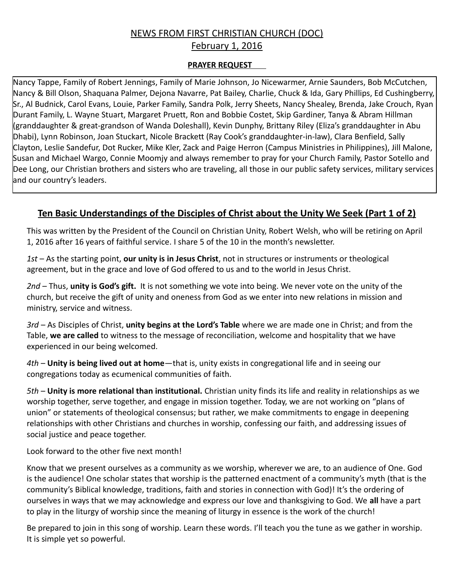## NEWS FROM FIRST CHRISTIAN CHURCH (DOC) February 1, 2016

## **PRAYER REQUEST**

Nancy Tappe, Family of Robert Jennings, Family of Marie Johnson, Jo Nicewarmer, Arnie Saunders, Bob McCutchen, Nancy & Bill Olson, Shaquana Palmer, Dejona Navarre, Pat Bailey, Charlie, Chuck & Ida, Gary Phillips, Ed Cushingberry, Sr., Al Budnick, Carol Evans, Louie, Parker Family, Sandra Polk, Jerry Sheets, Nancy Shealey, Brenda, Jake Crouch, Ryan Durant Family, L. Wayne Stuart, Margaret Pruett, Ron and Bobbie Costet, Skip Gardiner, Tanya & Abram Hillman (granddaughter & great-grandson of Wanda Doleshall), Kevin Dunphy, Brittany Riley (Eliza's granddaughter in Abu Dhabi), Lynn Robinson, Joan Stuckart, Nicole Brackett (Ray Cook's granddaughter-in-law), Clara Benfield, Sally Clayton, Leslie Sandefur, Dot Rucker, Mike Kler, Zack and Paige Herron (Campus Ministries in Philippines), Jill Malone, Susan and Michael Wargo, Connie Moomjy and always remember to pray for your Church Family, Pastor Sotello and Dee Long, our Christian brothers and sisters who are traveling, all those in our public safety services, military services and our country's leaders.

# **Ten Basic Understandings of the Disciples of Christ about the Unity We Seek (Part 1 of 2)**

This was written by the President of the Council on Christian Unity, Robert Welsh, who will be retiring on April 1, 2016 after 16 years of faithful service. I share 5 of the 10 in the month's newsletter.

*1st* – As the starting point, **our unity is in Jesus Christ**, not in structures or instruments or theological agreement, but in the grace and love of God offered to us and to the world in Jesus Christ.

*2nd* – Thus, **unity is God's gift.** It is not something we vote into being. We never vote on the unity of the church, but receive the gift of unity and oneness from God as we enter into new relations in mission and ministry, service and witness.

*3rd* – As Disciples of Christ, **unity begins at the Lord's Table** where we are made one in Christ; and from the Table, **we are called** to witness to the message of reconciliation, welcome and hospitality that we have experienced in our being welcomed.

*4th* – **Unity is being lived out at home**—that is, unity exists in congregational life and in seeing our congregations today as ecumenical communities of faith.

*5th* – **Unity is more relational than institutional.** Christian unity finds its life and reality in relationships as we worship together, serve together, and engage in mission together. Today, we are not working on "plans of union" or statements of theological consensus; but rather, we make commitments to engage in deepening relationships with other Christians and churches in worship, confessing our faith, and addressing issues of social justice and peace together.

Look forward to the other five next month!

Know that we present ourselves as a community as we worship, wherever we are, to an audience of One. God is the audience! One scholar states that worship is the patterned enactment of a community's myth (that is the community's Biblical knowledge, traditions, faith and stories in connection with God)! It's the ordering of ourselves in ways that we may acknowledge and express our love and thanksgiving to God. We **all** have a part to play in the liturgy of worship since the meaning of liturgy in essence is the work of the church!

Be prepared to join in this song of worship. Learn these words. I'll teach you the tune as we gather in worship. It is simple yet so powerful.